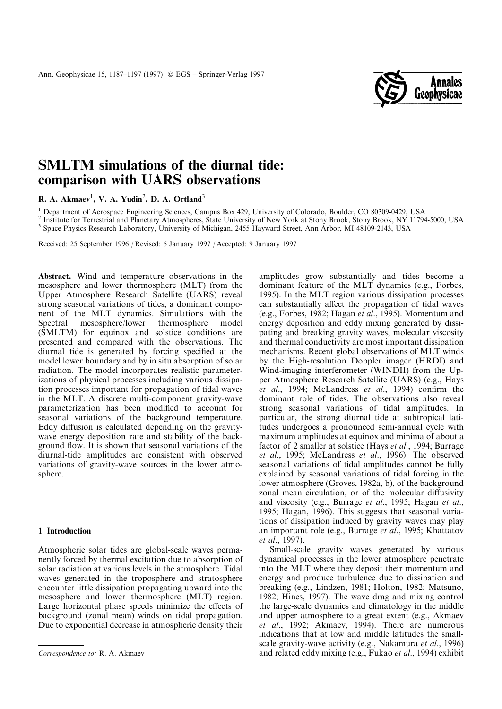

# SMLTM simulations of the diurnal tide: comparison with UARS observations

R. A. Akmaev<sup>1</sup>, V. A. Yudin<sup>2</sup>, D. A. Ortland<sup>3</sup>

<sup>1</sup> Department of Aerospace Engineering Sciences, Campus Box 429, University of Colorado, Boulder, CO 80309-0429, USA<br><sup>2</sup> Institute for Terrestrial and Planetary Atmospheres, State University of New York at Stony Brook, S

Received: 25 September 1996 / Revised: 6 January 1997 / Accepted: 9 January 1997

Abstract. Wind and temperature observations in the mesosphere and lower thermosphere (MLT) from the Upper Atmosphere Research Satellite (UARS) reveal strong seasonal variations of tides, a dominant component of the MLT dynamics. Simulations with the Spectral mesosphere/lower thermosphere model (SMLTM) for equinox and solstice conditions are presented and compared with the observations. The diurnal tide is generated by forcing specified at the model lower boundary and by in situ absorption of solar radiation. The model incorporates realistic parameterizations of physical processes including various dissipation processes important for propagation of tidal waves in the MLT. A discrete multi-component gravity-wave parameterization has been modified to account for seasonal variations of the background temperature. Eddy diffusion is calculated depending on the gravitywave energy deposition rate and stability of the background flow. It is shown that seasonal variations of the diurnal-tide amplitudes are consistent with observed variations of gravity-wave sources in the lower atmosphere.

## 1 Introduction

Atmospheric solar tides are global-scale waves permanently forced by thermal excitation due to absorption of solar radiation at various levels in the atmosphere. Tidal waves generated in the troposphere and stratosphere encounter little dissipation propagating upward into the mesosphere and lower thermosphere (MLT) region. Large horizontal phase speeds minimize the effects of background (zonal mean) winds on tidal propagation. Due to exponential decrease in atmospheric density their

amplitudes grow substantially and tides become a dominant feature of the MLT dynamics (e.g., Forbes, 1995). In the MLT region various dissipation processes can substantially affect the propagation of tidal waves (e.g., Forbes, 1982; Hagan *et al.*, 1995). Momentum and energy deposition and eddy mixing generated by dissipating and breaking gravity waves, molecular viscosity and thermal conductivity are most important dissipation mechanisms. Recent global observations of MLT winds by the High-resolution Doppler imager (HRDI) and Wind-imaging interferometer (WINDII) from the Upper Atmosphere Research Satellite (UARS) (e.g., Hays *et al.*, 1994; McLandress *et al.*, 1994) confirm the dominant role of tides. The observations also reveal strong seasonal variations of tidal amplitudes. In particular, the strong diurnal tide at subtropical latitudes undergoes a pronounced semi-annual cycle with maximum amplitudes at equinox and minima of about a factor of 2 smaller at solstice (Hays et al., 1994; Burrage et al., 1995; McLandress et al., 1996). The observed seasonal variations of tidal amplitudes cannot be fully explained by seasonal variations of tidal forcing in the lower atmosphere (Groves, 1982a, b), of the background zonal mean circulation, or of the molecular diffusivity and viscosity (e.g., Burrage et al., 1995; Hagan et al., 1995; Hagan, 1996). This suggests that seasonal variations of dissipation induced by gravity waves may play an important role (e.g., Burrage et al., 1995; Khattatov et al., 1997).

Small-scale gravity waves generated by various dynamical processes in the lower atmosphere penetrate into the MLT where they deposit their momentum and energy and produce turbulence due to dissipation and breaking (e.g., Lindzen, 1981; Holton, 1982; Matsuno, 1982; Hines, 1997). The wave drag and mixing control the large-scale dynamics and climatology in the middle and upper atmosphere to a great extent (e.g., Akmaev et al., 1992; Akmaev, 1994). There are numerous indications that at low and middle latitudes the smallscale gravity-wave activity (e.g., Nakamura et al., 1996) Correspondence to: R. A. Akmaev and related eddy mixing (e.g., Fukao et al., 1994) exhibit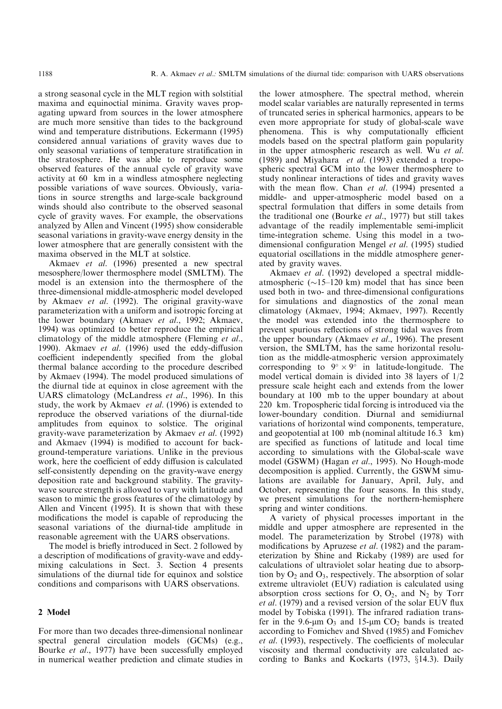a strong seasonal cycle in the MLT region with solstitial maxima and equinoctial minima. Gravity waves propagating upward from sources in the lower atmosphere are much more sensitive than tides to the background wind and temperature distributions. Eckermann (1995) considered annual variations of gravity waves due to only seasonal variations of temperature stratification in the stratosphere. He was able to reproduce some observed features of the annual cycle of gravity wave activity at 60 km in a windless atmosphere neglecting possible variations of wave sources. Obviously, variations in source strengths and large-scale background winds should also contribute to the observed seasonal cycle of gravity waves. For example, the observations analyzed by Allen and Vincent (1995) show considerable seasonal variations in gravity-wave energy density in the lower atmosphere that are generally consistent with the maxima observed in the MLT at solstice.

Akmaev et al. (1996) presented a new spectral mesosphere/lower thermosphere model (SMLTM). The model is an extension into the thermosphere of the three-dimensional middle-atmospheric model developed by Akmaev et al. (1992). The original gravity-wave parameterization with a uniform and isotropic forcing at the lower boundary (Akmaev et al., 1992; Akmaev, 1994) was optimized to better reproduce the empirical climatology of the middle atmosphere (Fleming et al., 1990). Akmaev et al.  $(1996)$  used the eddy-diffusion coefficient independently specified from the global thermal balance according to the procedure described by Akmaev (1994). The model produced simulations of the diurnal tide at equinox in close agreement with the UARS climatology (McLandress et al., 1996). In this study, the work by Akmaev et al. (1996) is extended to reproduce the observed variations of the diurnal-tide amplitudes from equinox to solstice. The original gravity-wave parameterization by Akmaev et al. (1992) and Akmaev (1994) is modified to account for background-temperature variations. Unlike in the previous work, here the coefficient of eddy diffusion is calculated self-consistently depending on the gravity-wave energy deposition rate and background stability. The gravitywave source strength is allowed to vary with latitude and season to mimic the gross features of the climatology by Allen and Vincent (1995). It is shown that with these modifications the model is capable of reproducing the seasonal variations of the diurnal-tide amplitude in reasonable agreement with the UARS observations.

The model is briefly introduced in Sect. 2 followed by a description of modifications of gravity-wave and eddymixing calculations in Sect. 3. Section 4 presents simulations of the diurnal tide for equinox and solstice conditions and comparisons with UARS observations.

## 2 Model

For more than two decades three-dimensional nonlinear spectral general circulation models (GCMs) (e.g., Bourke et al., 1977) have been successfully employed in numerical weather prediction and climate studies in

the lower atmosphere. The spectral method, wherein model scalar variables are naturally represented in terms of truncated series in spherical harmonics, appears to be even more appropriate for study of global-scale wave phenomena. This is why computationally efficient models based on the spectral platform gain popularity in the upper atmospheric research as well. Wu et al. (1989) and Miyahara et al. (1993) extended a tropospheric spectral GCM into the lower thermosphere to study nonlinear interactions of tides and gravity waves with the mean flow. Chan et al. (1994) presented a middle- and upper-atmospheric model based on a spectral formulation that differs in some details from the traditional one (Bourke et al., 1977) but still takes advantage of the readily implementable semi-implicit time-integration scheme. Using this model in a twodimensional configuration Mengel et al. (1995) studied equatorial oscillations in the middle atmosphere generated by gravity waves.

Akmaev et al. (1992) developed a spectral middleatmospheric  $(\sim 15-120 \text{ km})$  model that has since been used both in two- and three-dimensional configurations for simulations and diagnostics of the zonal mean climatology (Akmaev, 1994; Akmaev, 1997). Recently the model was extended into the thermosphere to prevent spurious reflections of strong tidal waves from the upper boundary (Akmaev et al., 1996). The present version, the SMLTM, has the same horizontal resolution as the middle-atmospheric version approximately corresponding to  $9^\circ \times 9^\circ$  in latitude-longitude. The model vertical domain is divided into 38 layers of 1/2 pressure scale height each and extends from the lower boundary at 100 mb to the upper boundary at about 220 km. Tropospheric tidal forcing is introduced via the lower-boundary condition. Diurnal and semidiurnal variations of horizontal wind components, temperature, and geopotential at 100 mb (nominal altitude 16.3 km) are specified as functions of latitude and local time according to simulations with the Global-scale wave model (GSWM) (Hagan et al., 1995). No Hough-mode decomposition is applied. Currently, the GSWM simulations are available for January, April, July, and October, representing the four seasons. In this study, we present simulations for the northern-hemisphere spring and winter conditions.

A variety of physical processes important in the middle and upper atmosphere are represented in the model. The parameterization by Strobel (1978) with modifications by Apruzese *et al.* (1982) and the parameterization by Shine and Rickaby (1989) are used for calculations of ultraviolet solar heating due to absorption by  $O_2$  and  $O_3$ , respectively. The absorption of solar extreme ultraviolet (EUV) radiation is calculated using absorption cross sections for  $O, O_2$ , and  $N_2$  by Torr  $et al.$  (1979) and a revised version of the solar EUV flux model by Tobiska (1991). The infrared radiation transfer in the 9.6- $\mu$ m O<sub>3</sub> and 15- $\mu$ m CO<sub>2</sub> bands is treated according to Fomichev and Shved (1985) and Fomichev et al. (1993), respectively. The coefficients of molecular viscosity and thermal conductivity are calculated according to Banks and Kockarts  $(1973, \S14.3)$ . Daily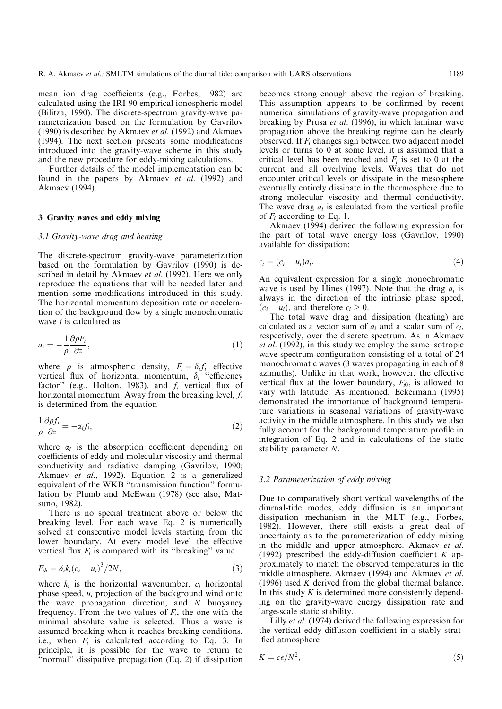mean ion drag coefficients (e.g., Forbes, 1982) are calculated using the IRI-90 empirical ionospheric model (Bilitza, 1990). The discrete-spectrum gravity-wave parameterization based on the formulation by Gavrilov (1990) is described by Akmaev *et al.* (1992) and Akmaev  $(1994)$ . The next section presents some modifications introduced into the gravity-wave scheme in this study and the new procedure for eddy-mixing calculations.

Further details of the model implementation can be found in the papers by Akmaev et al. (1992) and Akmaev (1994).

### 3 Gravity waves and eddy mixing

#### 3.1 Gravity-wave drag and heating

The discrete-spectrum gravity-wave parameterization based on the formulation by Gavrilov (1990) is described in detail by Akmaev et al. (1992). Here we only reproduce the equations that will be needed later and mention some modifications introduced in this study. The horizontal momentum deposition rate or acceleration of the background flow by a single monochromatic wave  $i$  is calculated as

$$
a_i = -\frac{1}{\rho} \frac{\partial \rho F_i}{\partial z},\tag{1}
$$

where  $\rho$  is atmospheric density,  $F_i = \delta_i f_i$  effective vertical flux of horizontal momentum,  $\delta_i$  "efficiency factor" (e.g., Holton, 1983), and  $f_i$  vertical flux of horizontal momentum. Away from the breaking level,  $f_i$ is determined from the equation

$$
\frac{1}{\rho} \frac{\partial \rho f_i}{\partial z} = -\alpha_i f_i,\tag{2}
$$

where  $\alpha_i$  is the absorption coefficient depending on coefficients of eddy and molecular viscosity and thermal conductivity and radiative damping (Gavrilov, 1990; Akmaev et al., 1992). Equation 2 is a generalized equivalent of the WKB "transmission function" formulation by Plumb and McEwan (1978) (see also, Matsuno, 1982).

There is no special treatment above or below the breaking level. For each wave Eq. 2 is numerically solved at consecutive model levels starting from the lower boundary. At every model level the effective vertical flux  $F_i$  is compared with its "breaking" value

$$
F_{ib} = \delta_i k_i (c_i - u_i)^3 / 2N,
$$
\n(3)

where  $k_i$  is the horizontal wavenumber,  $c_i$  horizontal phase speed,  $u_i$  projection of the background wind onto the wave propagation direction, and  $N$  buoyancy frequency. From the two values of  $F_i$ , the one with the minimal absolute value is selected. Thus a wave is assumed breaking when it reaches breaking conditions, i.e., when  $F_i$  is calculated according to Eq. 3. In principle, it is possible for the wave to return to ``normal'' dissipative propagation (Eq. 2) if dissipation

becomes strong enough above the region of breaking. This assumption appears to be confirmed by recent numerical simulations of gravity-wave propagation and breaking by Prusa et al. (1996), in which laminar wave propagation above the breaking regime can be clearly observed. If  $F_i$  changes sign between two adjacent model levels or turns to 0 at some level, it is assumed that a critical level has been reached and  $F_i$  is set to 0 at the current and all overlying levels. Waves that do not encounter critical levels or dissipate in the mesosphere eventually entirely dissipate in the thermosphere due to strong molecular viscosity and thermal conductivity. The wave drag  $a_i$  is calculated from the vertical profile of  $F_i$  according to Eq. 1.

Akmaev (1994) derived the following expression for the part of total wave energy loss (Gavrilov, 1990) available for dissipation:

$$
\epsilon_i = (c_i - u_i)a_i. \tag{4}
$$

An equivalent expression for a single monochromatic wave is used by Hines (1997). Note that the drag  $a_i$  is always in the direction of the intrinsic phase speed,  $(c_i - u_i)$ , and therefore  $\epsilon_i \geq 0$ .

The total wave drag and dissipation (heating) are calculated as a vector sum of  $a_i$  and a scalar sum of  $\epsilon_i$ , respectively, over the discrete spectrum. As in Akmaev et al. (1992), in this study we employ the same isotropic wave spectrum configuration consisting of a total of 24 monochromatic waves (3 waves propagating in each of 8 azimuths). Unlike in that work, however, the effective vertical flux at the lower boundary,  $F_{i0}$ , is allowed to vary with latitude. As mentioned, Eckermann (1995) demonstrated the importance of background temperature variations in seasonal variations of gravity-wave activity in the middle atmosphere. In this study we also fully account for the background temperature profile in integration of Eq. 2 and in calculations of the static stability parameter N.

#### 3.2 Parameterization of eddy mixing

Due to comparatively short vertical wavelengths of the diurnal-tide modes, eddy diffusion is an important dissipation mechanism in the MLT (e.g., Forbes, 1982). However, there still exists a great deal of uncertainty as to the parameterization of eddy mixing in the middle and upper atmosphere. Akmaev et al. (1992) prescribed the eddy-diffusion coefficient K approximately to match the observed temperatures in the middle atmosphere. Akmaev (1994) and Akmaev et al. (1996) used  $K$  derived from the global thermal balance. In this study  $K$  is determined more consistently depending on the gravity-wave energy dissipation rate and large-scale static stability.

Lilly et al. (1974) derived the following expression for the vertical eddy-diffusion coefficient in a stably stratified atmosphere

$$
K = c\epsilon/N^2,\tag{5}
$$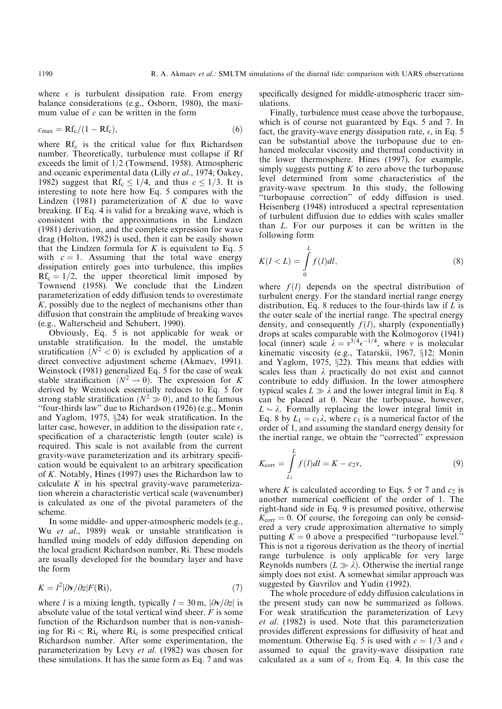where  $\epsilon$  is turbulent dissipation rate. From energy balance considerations (e.g., Osborn, 1980), the maximum value of c can be written in the form

$$
c_{\text{max}} = \text{Rf}_{\text{c}}/(1 - \text{Rf}_{\text{c}}),\tag{6}
$$

where  $Rf_c$  is the critical value for flux Richardson number. Theoretically, turbulence must collapse if Rf exceeds the limit of 1/2 (Townsend, 1958). Atmospheric and oceanic experimental data (Lilly et al., 1974; Oakey, 1982) suggest that Rf<sub>c</sub>  $\leq$  1/4, and thus  $c \leq$  1/3. It is interesting to note here how Eq. 5 compares with the Lindzen (1981) parameterization of  $K$  due to wave breaking. If Eq. 4 is valid for a breaking wave, which is consistent with the approximations in the Lindzen (1981) derivation, and the complete expression for wave drag (Holton, 1982) is used, then it can be easily shown that the Lindzen formula for  $K$  is equivalent to Eq. 5 with  $c = 1$ . Assuming that the total wave energy dissipation entirely goes into turbulence, this implies  $Rf_c = 1/2$ , the upper theoretical limit imposed by Townsend (1958). We conclude that the Lindzen parameterization of eddy diffusion tends to overestimate K, possibly due to the neglect of mechanisms other than diffusion that constrain the amplitude of breaking waves (e.g., Walterscheid and Schubert, 1990).

Obviously, Eq. 5 is not applicable for weak or unstable stratification. In the model, the unstable stratification ( $N^2$  < 0) is excluded by application of a direct convective adjustment scheme (Akmaev, 1991). Weinstock (1981) generalized Eq. 5 for the case of weak stable stratification  $(N^2 \rightarrow 0)$ . The expression for K derived by Weinstock essentially reduces to Eq. 5 for strong stable stratification  $(N^2 \gg 0)$ , and to the famous ``four-thirds law'' due to Richardson (1926) (e.g., Monin and Yaglom, 1975,  $\S 24$ ) for weak stratification. In the latter case, however, in addition to the dissipation rate  $\epsilon$ , specification of a characteristic length (outer scale) is required. This scale is not available from the current gravity-wave parameterization and its arbitrary specification would be equivalent to an arbitrary specification of K. Notably, Hines (1997) uses the Richardson law to calculate  $K$  in his spectral gravity-wave parameterization wherein a characteristic vertical scale (wavenumber) is calculated as one of the pivotal parameters of the scheme.

In some middle- and upper-atmospheric models (e.g., Wu et al., 1989) weak or unstable stratification is handled using models of eddy diffusion depending on the local gradient Richardson number, Ri. These models are usually developed for the boundary layer and have the form

$$
K = l^2 |\partial \mathbf{v}/\partial z| F(\mathbf{Ri}), \qquad (7)
$$

where l is a mixing length, typically  $l = 30$  m,  $|\partial v/\partial z|$  is absolute value of the total vertical wind sheer.  $F$  is some function of the Richardson number that is non-vanishing for  $\text{Ri} < \text{Ri}_c$  where  $\text{Ri}_c$  is some prespecified critical Richardson number. After some experimentation, the parameterization by Levy et al. (1982) was chosen for these simulations. It has the same form as Eq. 7 and was

specifically designed for middle-atmospheric tracer simulations.

Finally, turbulence must cease above the turbopause, which is of course not guaranteed by Eqs. 5 and 7. In fact, the gravity-wave energy dissipation rate,  $\epsilon$ , in Eq. 5 can be substantial above the turbopause due to enhanced molecular viscosity and thermal conductivity in the lower thermosphere. Hines (1997), for example, simply suggests putting  $K$  to zero above the turbopause level determined from some characteristics of the gravity-wave spectrum. In this study, the following "turbopause correction" of eddy diffusion is used. Heisenberg (1948) introduced a spectral representation of turbulent diffusion due to eddies with scales smaller than L. For our purposes it can be written in the following form

$$
K(l < L) = \int_{0}^{L} f(l)dl,
$$
\n(8)

where  $f(l)$  depends on the spectral distribution of turbulent energy. For the standard inertial range energy distribution, Eq. 8 reduces to the four-thirds law if  $L$  is the outer scale of the inertial range. The spectral energy density, and consequently  $f(l)$ , sharply (exponentially) drops at scales comparable with the Kolmogorov (1941) local (inner) scale  $\lambda = v^{3/4} \epsilon^{-1/4}$ , where v is molecular kinematic viscosity (e.g., Tatarskii, 1967, §12; Monin and Yaglom, 1975,  $\S$ 22). This means that eddies with scales less than  $\lambda$  practically do not exist and cannot contribute to eddy diffusion. In the lower atmosphere typical scales  $L \gg \lambda$  and the lower integral limit in Eq. 8 can be placed at 0. Near the turbopause, however,  $L \sim \lambda$ . Formally replacing the lower integral limit in Eq. 8 by  $L_1 = c_1 \lambda$ , where  $c_1$  is a numerical factor of the order of 1, and assuming the standard energy density for the inertial range, we obtain the "corrected" expression

$$
K_{\text{corr}} = \int_{L_1}^{L} f(l)dl = K - c_2 v,
$$
\n(9)

where K is calculated according to Eqs. 5 or 7 and  $c_2$  is another numerical coefficient of the order of 1. The right-hand side in Eq. 9 is presumed positive, otherwise  $K_{\text{corr}} = 0$ . Of course, the foregoing can only be considered a very crude approximation alternative to simply putting  $K = 0$  above a prespecified "turbopause level." This is not a rigorous derivation as the theory of inertial range turbulence is only applicable for very large Reynolds numbers  $(L \gg \lambda)$ . Otherwise the inertial range simply does not exist. A somewhat similar approach was suggested by Gavrilov and Yudin (1992).

The whole procedure of eddy diffusion calculations in the present study can now be summarized as follows. For weak stratification the parameterization of Levy et al. (1982) is used. Note that this parameterization provides different expressions for diffusivity of heat and momentum. Otherwise Eq. 5 is used with  $c = 1/3$  and  $\epsilon$ assumed to equal the gravity-wave dissipation rate calculated as a sum of  $\epsilon_i$  from Eq. 4. In this case the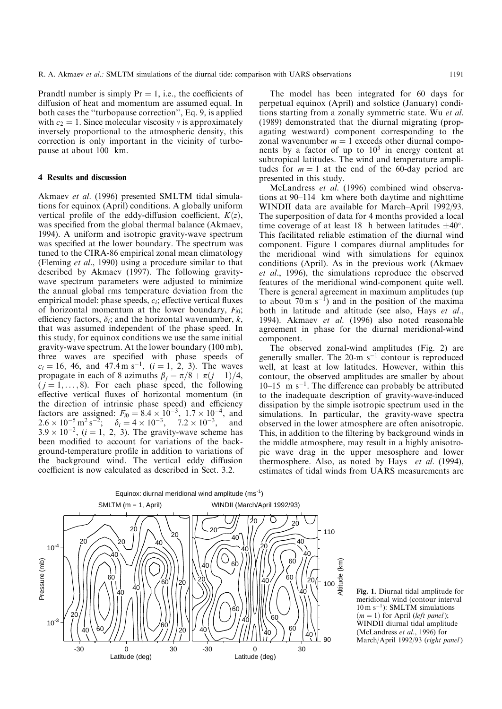Prandtl number is simply  $Pr = 1$ , i.e., the coefficients of diffusion of heat and momentum are assumed equal. In both cases the "turbopause correction", Eq. 9, is applied with  $c_2 = 1$ . Since molecular viscosity v is approximately inversely proportional to the atmospheric density, this correction is only important in the vicinity of turbopause at about 100 km.

#### 4 Results and discussion

Akmaev et al. (1996) presented SMLTM tidal simulations for equinox (April) conditions. A globally uniform vertical profile of the eddy-diffusion coefficient,  $K(z)$ , was specified from the global thermal balance (Akmaev, 1994). A uniform and isotropic gravity-wave spectrum was specified at the lower boundary. The spectrum was tuned to the CIRA-86 empirical zonal mean climatology (Fleming et al., 1990) using a procedure similar to that described by Akmaev (1997). The following gravitywave spectrum parameters were adjusted to minimize the annual global rms temperature deviation from the empirical model: phase speeds,  $c_i$ ; effective vertical fluxes of horizontal momentum at the lower boundary,  $F_{i0}$ ; efficiency factors,  $\delta_i$ ; and the horizontal wavenumber, k, that was assumed independent of the phase speed. In this study, for equinox conditions we use the same initial gravity-wave spectrum. At the lower boundary (100 mb), three waves are specified with phase speeds of  $c_i = 16$ , 46, and 47.4 m s<sup>-1</sup>, (i = 1, 2, 3). The waves propagate in each of 8 azimuths  $\beta_i = \pi/8 + \pi(j - 1)/4$ ,  $(i = 1, \ldots, 8)$ . For each phase speed, the following effective vertical fluxes of horizontal momentum (in the direction of intrinsic phase speed) and efficiency factors are assigned:  $F_{i0} = 8.4 \times 10^{-3}$ ,  $1.7 \times 10^{-4}$ , and  $2.6 \times 10^{-5} \,\mathrm{m}^2 \,\mathrm{s}^{-2}; \quad \delta_i = 4 \times 10^{-3}, \quad 7.2 \times 10^{-3}, \quad \text{and}$  $3.9 \times 10^{-2}$ ,  $(i = 1, 2, 3)$ . The gravity-wave scheme has been modified to account for variations of the background-temperature profile in addition to variations of the background wind. The vertical eddy diffusion coefficient is now calculated as described in Sect. 3.2.

The model has been integrated for 60 days for perpetual equinox (April) and solstice (January) conditions starting from a zonally symmetric state. Wu *et al.* (1989) demonstrated that the diurnal migrating (propagating westward) component corresponding to the zonal wavenumber  $m = 1$  exceeds other diurnal components by a factor of up to  $10<sup>3</sup>$  in energy content at subtropical latitudes. The wind and temperature amplitudes for  $m = 1$  at the end of the 60-day period are presented in this study.

McLandress et al. (1996) combined wind observations at 90–114 km where both daytime and nighttime WINDII data are available for March-April 1992/93. The superposition of data for 4 months provided a local time coverage of at least 18 h between latitudes  $\pm 40^{\circ}$ . This facilitated reliable estimation of the diurnal wind component. Figure 1 compares diurnal amplitudes for the meridional wind with simulations for equinox conditions (April). As in the previous work (Akmaev et al., 1996), the simulations reproduce the observed features of the meridional wind-component quite well. There is general agreement in maximum amplitudes (up to about  $70 \text{ m s}^{-1}$  and in the position of the maxima both in latitude and altitude (see also, Hays et al., 1994). Akmaev et al. (1996) also noted reasonable agreement in phase for the diurnal meridional-wind component.

The observed zonal-wind amplitudes (Fig. 2) are generally smaller. The  $20 \text{-m s}^{-1}$  contour is reproduced well, at least at low latitudes. However, within this contour, the observed amplitudes are smaller by about  $10-15$  m s<sup>-1</sup>. The difference can probably be attributed to the inadequate description of gravity-wave-induced dissipation by the simple isotropic spectrum used in the simulations. In particular, the gravity-wave spectra observed in the lower atmosphere are often anisotropic. This, in addition to the filtering by background winds in the middle atmosphere, may result in a highly anisotropic wave drag in the upper mesosphere and lower thermosphere. Also, as noted by Hays et al. (1994), estimates of tidal winds from UARS measurements are



Fig. 1. Diurnal tidal amplitude for meridional wind (contour interval  $10 \text{ m s}^{-1}$ : SMLTM simulations  $(m = 1)$  for April (*left panel*); WINDII diurnal tidal amplitude (McLandress et al., 1996) for March/April 1992/93 (right panel)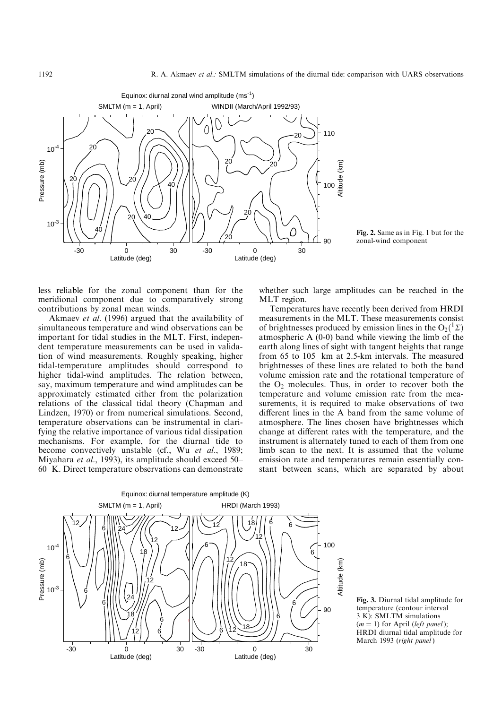

 $\bigcirc$   $\bigcirc$   $\bigcirc$   $\bigcirc$  Fig. 2. Same as in Fig. 1 but for the zonal-wind component

less reliable for the zonal component than for the meridional component due to comparatively strong contributions by zonal mean winds.

Akmaev et al. (1996) argued that the availability of simultaneous temperature and wind observations can be important for tidal studies in the MLT. First, independent temperature measurements can be used in validation of wind measurements. Roughly speaking, higher tidal-temperature amplitudes should correspond to higher tidal-wind amplitudes. The relation between, say, maximum temperature and wind amplitudes can be approximately estimated either from the polarization relations of the classical tidal theory (Chapman and Lindzen, 1970) or from numerical simulations. Second, temperature observations can be instrumental in clarifying the relative importance of various tidal dissipation mechanisms. For example, for the diurnal tide to become convectively unstable (cf., Wu et al., 1989; Miyahara et al., 1993), its amplitude should exceed 50– 60 K. Direct temperature observations can demonstrate whether such large amplitudes can be reached in the MLT region.

Temperatures have recently been derived from HRDI measurements in the MLT. These measurements consist of brightnesses produced by emission lines in the  $O_2(^1\Sigma)$ atmospheric A (0-0) band while viewing the limb of the earth along lines of sight with tangent heights that range from 65 to 105 km at 2.5-km intervals. The measured brightnesses of these lines are related to both the band volume emission rate and the rotational temperature of the  $O_2$  molecules. Thus, in order to recover both the temperature and volume emission rate from the measurements, it is required to make observations of two different lines in the A band from the same volume of atmosphere. The lines chosen have brightnesses which change at different rates with the temperature, and the instrument is alternately tuned to each of them from one limb scan to the next. It is assumed that the volume emission rate and temperatures remain essentially constant between scans, which are separated by about



Fig. 3. Diurnal tidal amplitude for temperature (contour interval 3 K): SMLTM simulations  $(m = 1)$  for April (left panel): HRDI diurnal tidal amplitude for March 1993 (right panel)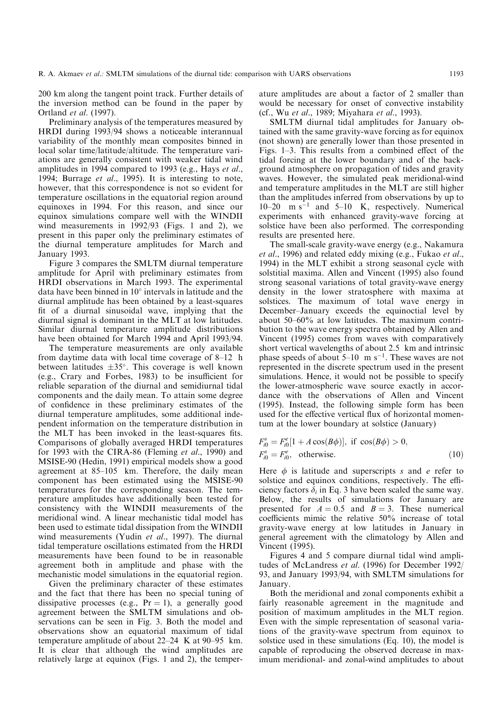200 km along the tangent point track. Further details of the inversion method can be found in the paper by Ortland et al. (1997).

Preliminary analysis of the temperatures measured by HRDI during 1993/94 shows a noticeable interannual variability of the monthly mean composites binned in local solar time/latitude/altitude. The temperature variations are generally consistent with weaker tidal wind amplitudes in 1994 compared to 1993 (e.g., Hays et al., 1994; Burrage et al., 1995). It is interesting to note, however, that this correspondence is not so evident for temperature oscillations in the equatorial region around equinoxes in 1994. For this reason, and since our equinox simulations compare well with the WINDII wind measurements in 1992/93 (Figs. 1 and 2), we present in this paper only the preliminary estimates of the diurnal temperature amplitudes for March and January 1993.

Figure 3 compares the SMLTM diurnal temperature amplitude for April with preliminary estimates from HRDI observations in March 1993. The experimental data have been binned in  $10^{\circ}$  intervals in latitude and the diurnal amplitude has been obtained by a least-squares fit of a diurnal sinusoidal wave, implying that the diurnal signal is dominant in the MLT at low latitudes. Similar diurnal temperature amplitude distributions have been obtained for March 1994 and April 1993/94.

The temperature measurements are only available from daytime data with local time coverage of  $8-12$  h between latitudes  $\pm 35^{\circ}$ . This coverage is well known (e.g., Crary and Forbes, 1983) to be insufficient for reliable separation of the diurnal and semidiurnal tidal components and the daily mean. To attain some degree of confidence in these preliminary estimates of the diurnal temperature amplitudes, some additional independent information on the temperature distribution in the MLT has been invoked in the least-squares fits. Comparisons of globally averaged HRDI temperatures for 1993 with the CIRA-86 (Fleming et al., 1990) and MSISE-90 (Hedin, 1991) empirical models show a good agreement at  $85-105$  km. Therefore, the daily mean component has been estimated using the MSISE-90 temperatures for the corresponding season. The temperature amplitudes have additionally been tested for consistency with the WINDII measurements of the meridional wind. A linear mechanistic tidal model has been used to estimate tidal dissipation from the WINDII wind measurements (Yudin et al., 1997). The diurnal tidal temperature oscillations estimated from the HRDI measurements have been found to be in reasonable agreement both in amplitude and phase with the mechanistic model simulations in the equatorial region.

Given the preliminary character of these estimates and the fact that there has been no special tuning of dissipative processes (e.g.,  $Pr = 1$ ), a generally good agreement between the SMLTM simulations and observations can be seen in Fig. 3. Both the model and observations show an equatorial maximum of tidal temperature amplitude of about  $22-24$  K at  $90-95$  km. It is clear that although the wind amplitudes are relatively large at equinox (Figs. 1 and 2), the temperature amplitudes are about a factor of 2 smaller than would be necessary for onset of convective instability (cf., Wu et al., 1989; Miyahara et al., 1993).

SMLTM diurnal tidal amplitudes for January obtained with the same gravity-wave forcing as for equinox (not shown) are generally lower than those presented in Figs.  $1-3$ . This results from a combined effect of the tidal forcing at the lower boundary and of the background atmosphere on propagation of tides and gravity waves. However, the simulated peak meridional-wind and temperature amplitudes in the MLT are still higher than the amplitudes inferred from observations by up to 10 $-20$  m s<sup> $-1$ </sup> and 5 $-10$  K, respectively. Numerical experiments with enhanced gravity-wave forcing at solstice have been also performed. The corresponding results are presented here.

The small-scale gravity-wave energy (e.g., Nakamura et al., 1996) and related eddy mixing (e.g., Fukao et al., 1994) in the MLT exhibit a strong seasonal cycle with solstitial maxima. Allen and Vincent (1995) also found strong seasonal variations of total gravity-wave energy density in the lower stratosphere with maxima at solstices. The maximum of total wave energy in December-January exceeds the equinoctial level by about 50–60% at low latitudes. The maximum contribution to the wave energy spectra obtained by Allen and Vincent (1995) comes from waves with comparatively short vertical wavelengths of about 2.5 km and intrinsic phase speeds of about  $5-10$  m s<sup>-1</sup>. These waves are not represented in the discrete spectrum used in the present simulations. Hence, it would not be possible to specify the lower-atmospheric wave source exactly in accordance with the observations of Allen and Vincent (1995). Instead, the following simple form has been used for the effective vertical flux of horizontal momentum at the lower boundary at solstice (January)

$$
F_{i0}^s = F_{i0}^e[1 + A\cos(B\phi)], \text{ if } \cos(B\phi) > 0,
$$
  
\n
$$
F_{i0}^s = F_{i0}^e, \text{ otherwise.}
$$
\n(10)

Here  $\phi$  is latitude and superscripts s and e refer to solstice and equinox conditions, respectively. The efficiency factors  $\delta_i$  in Eq. 3 have been scaled the same way. Below, the results of simulations for January are presented for  $A = 0.5$  and  $B = 3$ . These numerical coefficients mimic the relative  $50\%$  increase of total gravity-wave energy at low latitudes in January in general agreement with the climatology by Allen and Vincent (1995).

Figures 4 and 5 compare diurnal tidal wind amplitudes of McLandress et al. (1996) for December 1992/ 93, and January 1993/94, with SMLTM simulations for January.

Both the meridional and zonal components exhibit a fairly reasonable agreement in the magnitude and position of maximum amplitudes in the MLT region. Even with the simple representation of seasonal variations of the gravity-wave spectrum from equinox to solstice used in these simulations (Eq. 10), the model is capable of reproducing the observed decrease in maximum meridional- and zonal-wind amplitudes to about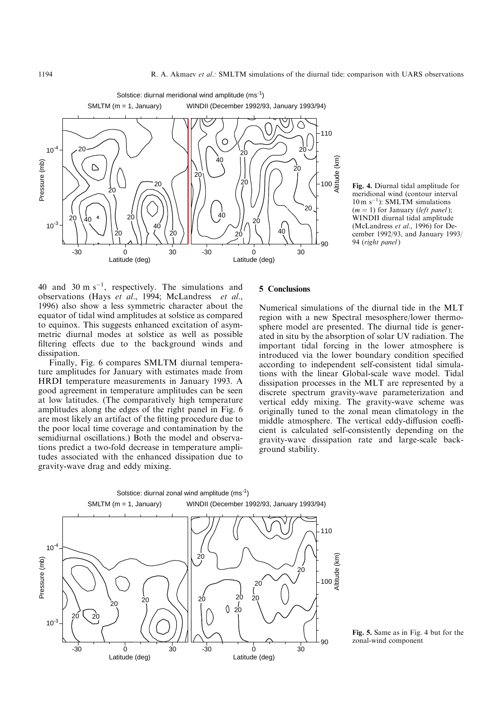

Fig. 4. Diurnal tidal amplitude for meridional wind (contour interval  $10 \text{ m s}^{-1}$ : SMLTM simulations  $(m = 1)$  for January (left panel); WINDII diurnal tidal amplitude (McLandress et al., 1996) for December 1992/93, and January 1993/ 94 (right panel)

40 and 30 m  $s^{-1}$ , respectively. The simulations and observations (Hays et al., 1994; McLandress et al., 1996) also show a less symmetric character about the equator of tidal wind amplitudes at solstice as compared to equinox. This suggests enhanced excitation of asymmetric diurnal modes at solstice as well as possible filtering effects due to the background winds and dissipation.

Finally, Fig. 6 compares SMLTM diurnal temperature amplitudes for January with estimates made from HRDI temperature measurements in January 1993. A good agreement in temperature amplitudes can be seen at low latitudes. (The comparatively high temperature amplitudes along the edges of the right panel in Fig. 6 are most likely an artifact of the fitting procedure due to the poor local time coverage and contamination by the semidiurnal oscillations.) Both the model and observations predict a two-fold decrease in temperature amplitudes associated with the enhanced dissipation due to gravity-wave drag and eddy mixing.

## 5 Conclusions

Numerical simulations of the diurnal tide in the MLT region with a new Spectral mesosphere/lower thermosphere model are presented. The diurnal tide is generated in situ by the absorption of solar UV radiation. The important tidal forcing in the lower atmosphere is introduced via the lower boundary condition specified according to independent self-consistent tidal simulations with the linear Global-scale wave model. Tidal dissipation processes in the MLT are represented by a discrete spectrum gravity-wave parameterization and vertical eddy mixing. The gravity-wave scheme was originally tuned to the zonal mean climatology in the middle atmosphere. The vertical eddy-diffusion coefficient is calculated self-consistently depending on the gravity-wave dissipation rate and large-scale background stability.



Fig. 5. Same as in Fig. 4 but for the zonal-wind component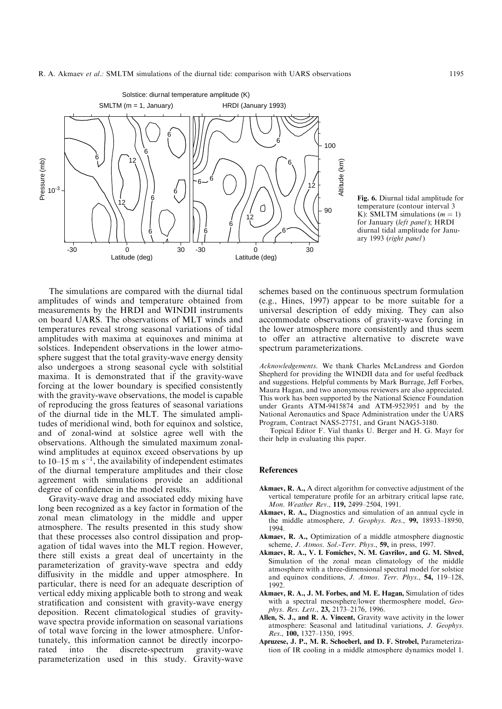



The simulations are compared with the diurnal tidal amplitudes of winds and temperature obtained from measurements by the HRDI and WINDII instruments on board UARS. The observations of MLT winds and temperatures reveal strong seasonal variations of tidal amplitudes with maxima at equinoxes and minima at solstices. Independent observations in the lower atmosphere suggest that the total gravity-wave energy density also undergoes a strong seasonal cycle with solstitial maxima. It is demonstrated that if the gravity-wave forcing at the lower boundary is specified consistently with the gravity-wave observations, the model is capable of reproducing the gross features of seasonal variations of the diurnal tide in the MLT. The simulated amplitudes of meridional wind, both for equinox and solstice, and of zonal-wind at solstice agree well with the observations. Although the simulated maximum zonalwind amplitudes at equinox exceed observations by up to 10–15 m  $s^{-1}$ , the availability of independent estimates of the diurnal temperature amplitudes and their close agreement with simulations provide an additional degree of confidence in the model results.

Gravity-wave drag and associated eddy mixing have long been recognized as a key factor in formation of the zonal mean climatology in the middle and upper atmosphere. The results presented in this study show that these processes also control dissipation and propagation of tidal waves into the MLT region. However, there still exists a great deal of uncertainty in the parameterization of gravity-wave spectra and eddy diffusivity in the middle and upper atmosphere. In particular, there is need for an adequate description of vertical eddy mixing applicable both to strong and weak stratification and consistent with gravity-wave energy deposition. Recent climatological studies of gravitywave spectra provide information on seasonal variations of total wave forcing in the lower atmosphere. Unfortunately, this information cannot be directly incorporated into the discrete-spectrum gravity-wave parameterization used in this study. Gravity-wave

schemes based on the continuous spectrum formulation (e.g., Hines, 1997) appear to be more suitable for a universal description of eddy mixing. They can also accommodate observations of gravity-wave forcing in the lower atmosphere more consistently and thus seem to offer an attractive alternative to discrete wave spectrum parameterizations.

Acknowledgements. We thank Charles McLandress and Gordon Shepherd for providing the WINDII data and for useful feedback and suggestions. Helpful comments by Mark Burrage, Jeff Forbes, Maura Hagan, and two anonymous reviewers are also appreciated. This work has been supported by the National Science Foundation under Grants ATM-9415874 and ATM-9523951 and by the National Aeronautics and Space Administration under the UARS Program, Contract NAS5-27751, and Grant NAG5-3180.

Topical Editor F. Vial thanks U. Berger and H. G. Mayr for their help in evaluating this paper.

#### References

- Akmaev, R. A., A direct algorithm for convective adjustment of the vertical temperature profile for an arbitrary critical lapse rate, Mon. Weather Rev., 119, 2499-2504, 1991.
- Akmaev, R. A., Diagnostics and simulation of an annual cycle in the middle atmosphere, J. Geophys. Res., 99, 18933-18950, 1994.
- Akmaev, R. A., Optimization of a middle atmosphere diagnostic scheme, J. Atmos. Sol.-Terr. Phys., 59, in press, 1997.
- Akmaev, R. A., V. I. Fomichev, N. M. Gavrilov, and G. M. Shved, Simulation of the zonal mean climatology of the middle atmosphere with a three-dimensional spectral model for solstice and equinox conditions, J. Atmos. Terr. Phys., 54, 119-128, 1992.
- Akmaev, R. A., J. M. Forbes, and M. E. Hagan, Simulation of tides with a spectral mesosphere/lower thermosphere model, Geophys. Res. Lett., 23, 2173-2176, 1996.
- Allen, S. J., and R. A. Vincent, Gravity wave activity in the lower atmosphere: Seasonal and latitudinal variations, J. Geophys. Res., 100, 1327-1350, 1995.
- Apruzese, J. P., M. R. Schoeberl, and D. F. Strobel, Parameterization of IR cooling in a middle atmosphere dynamics model 1.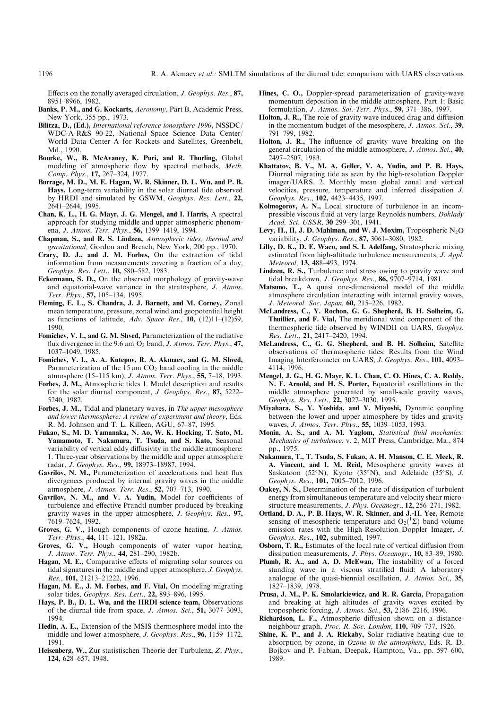Effects on the zonally averaged circulation,  $J. Geophys. Res., 87,$ 8951±8966, 1982.

- Banks, P. M., and G. Kockarts, Aeronomy, Part B, Academic Press, New York, 355 pp., 1973.
- Bilitza, D., (Ed.), International reference ionosphere 1990, NSSDC/ WDC-A-R&S 90-22, National Space Science Data Center/ World Data Center A for Rockets and Satellites, Greenbelt, Md., 1990.
- Bourke, W., B. McAvaney, K. Puri, and R. Thurling, Global modeling of atmospheric flow by spectral methods, Meth. Comp. Phys., 17, 267-324, 1977.
- Burrage, M. D., M. E. Hagan, W. R. Skinner, D. L. Wu, and P. B. Hays, Long-term variability in the solar diurnal tide observed by HRDI and simulated by GSWM, Geophys. Res. Lett., 22, 2641±2644, 1995.
- Chan, K. L., H. G. Mayr, J. G. Mengel, and I. Harris, A spectral approach for studying middle and upper atmospheric phenomena, J. Atmos. Terr. Phys., 56, 1399-1419, 1994.
- Chapman, S., and R. S. Lindzen, Atmospheric tides, thermal and gravitational, Gordon and Breach, New York, 200 pp., 1970.
- Crary, D. J., and J. M. Forbes, On the extraction of tidal information from measurements covering a fraction of a day, Geophys. Res. Lett., 10, 580-582, 1983.
- Eckermann, S. D., On the observed morphology of gravity-wave and equatorial-wave variance in the stratosphere, J. Atmos. Terr. Phys., 57, 105-134, 1995.
- Fleming, E. L., S. Chandra, J. J. Barnett, and M. Corney, Zonal mean temperature, pressure, zonal wind and geopotential height as functions of latitude, Adv. Space Res.,  $10$ ,  $(12)11-(12)59$ , 1990.
- Fomichev, V. I., and G. M. Shved, Parameterization of the radiative flux divergence in the 9.6  $\mu$ m O<sub>3</sub> band, *J. Atmos. Terr. Phys.*, 47, 1037±1049, 1985.
- Fomichev, V. I., A. A. Kutepov, R. A. Akmaev, and G. M. Shved, Parameterization of the  $15 \mu m CO<sub>2</sub>$  band cooling in the middle atmosphere (15 $-115$  km), *J. Atmos. Terr. Phys.*, 55, 7 $-18$ , 1993.
- Forbes, J. M., Atmospheric tides 1. Model description and results for the solar diurnal component, J. Geophys. Res.,  $87, 5222-$ 5240, 1982.
- Forbes, J. M., Tidal and planetary waves, in The upper mesosphere and lower thermosphere: A review of experiment and theory, Eds. R. M. Johnson and T. L. Killeen, AGU, 67-87, 1995.
- Fukao, S., M. D. Yamanaka, N. Ao, W. K. Hocking, T. Sato, M. Yamamoto, T. Nakamura, T. Tsuda, and S. Kato, Seasonal variability of vertical eddy diffusivity in the middle atmosphere: 1. Three-year observations by the middle and upper atmosphere radar, J. Geophys. Res., 99, 18973-18987, 1994.
- Gavrilov, N. M., Parameterization of accelerations and heat flux divergences produced by internal gravity waves in the middle atmosphere, J. Atmos. Terr. Res., 52, 707-713, 1990.
- Gavrilov, N. M., and V. A. Yudin, Model for coefficients of turbulence and effective Prandtl number produced by breaking gravity waves in the upper atmosphere, J. Geophys. Res., 97, 7619±7624, 1992.
- Groves, G. V., Hough components of ozone heating, J. Atmos. Terr. Phys., 44, 111-121, 1982a.
- Groves, G. V., Hough components of water vapor heating, J. Atmos. Terr. Phys., 44, 281-290, 1982b.
- Hagan, M. E., Comparative effects of migrating solar sources on tidal signatures in the middle and upper atmosphere, J. Geophys. Res., 101, 21213-21222, 1996.
- Hagan, M. E., J. M. Forbes, and F. Vial, On modeling migrating solar tides, Geophys. Res. Lett., 22, 893-896, 1995.
- Hays, P. B., D. L. Wu, and the HRDI science team, Observations of the diurnal tide from space,  $J.$   $Atmos.$   $Sci.$ ,  $51$ ,  $3077-3093$ , 1994.
- Hedin, A. E., Extension of the MSIS thermosphere model into the middle and lower atmosphere, J. Geophys. Res., 96, 1159-1172, 1991.
- Heisenberg, W., Zur statistischen Theorie der Turbulenz, Z. Phys., 124, 628-657, 1948.
- Hines, C. O., Doppler-spread parameterization of gravity-wave momentum deposition in the middle atmosphere. Part 1: Basic formulation,  $J.$  Atmos. Sol.-Terr. Phys., 59, 371-386, 1997.
- Holton, J. R., The role of gravity wave induced drag and diffusion in the momentum budget of the mesosphere, *J. Atmos. Sci.*, 39, 791±799, 1982.
- Holton, J.  $\dot{R}$ ., The influence of gravity wave breaking on the general circulation of the middle atmosphere, J. Atmos. Sci., 40, 2497±2507, 1983.
- Khattatov, B. V., M. A. Geller, V. A. Yudin, and P. B. Hays, Diurnal migrating tide as seen by the high-resolution Doppler imager/UARS. 2. Monthly mean global zonal and vertical velocities, pressure, temperature and inferred dissipation J. Geophys. Res., 102, 4423-4435, 1997.
- Kolmogorov, A. N., Local structure of turbulence in an incompressible viscous fluid at very large Reynolds numbers, *Doklady* Acad. Sci. USSR, 30 299-301, 1941.
- Levy, H., II, J. D. Mahlman, and W. J. Moxim, Tropospheric  $N_2O$ variability, *J. Geophys. Res.*, **87,** 3061-3080, 1982.
- Lilly, D. K., D. E. Waco, and S. I. Adelfang, Stratospheric mixing estimated from high-altitude turbulence measurements, *J. Appl.* Meteorol, 13, 488-493, 1974.
- Lindzen, R. S., Turbulence and stress owing to gravity wave and tidal breakdown, J. Geophys. Res., 86, 9707-9714, 1981.
- Matsuno, T., A quasi one-dimensional model of the middle atmosphere circulation interacting with internal gravity waves, J. Meteorol. Soc. Japan, 60, 215-226, 1982.
- McLandress, C., Y. Rochon, G. G. Shepherd, B. H. Solheim, G. Thuillier, and F. Vial, The meridional wind component of the thermospheric tide observed by WINDII on UARS, Geophys. Res. Lett., 21, 2417-2420, 1994.
- McLandress, C., G. G. Shepherd, and B. H. Solheim, Satellite observations of thermospheric tides: Results from the Wind Imaging Interferometer on UARS, J. Geophys. Res., 101, 4093-4114, 1996.
- Mengel, J. G., H. G. Mayr, K. L. Chan, C. O. Hines, C. A. Reddy, N. F. Arnold, and H. S. Porter, Equatorial oscillations in the middle atmosphere generated by small-scale gravity waves, Geophys. Res. Lett., 22, 3027-3030, 1995.
- Miyahara, S., Y. Yoshida, and Y. Miyoshi, Dynamic coupling between the lower and upper atmosphere by tides and gravity waves, *J. Atmos. Terr. Phys.*, 55, 1039-1053, 1993.
- Monin, A. S., and A. M. Yaglom, Statistical fluid mechanics: Mechanics of turbulence, v. 2, MIT Press, Cambridge, Ma., 874 pp., 1975.
- Nakamura, T., T. Tsuda, S. Fukao, A. H. Manson, C. E. Meek, R. A. Vincent, and I. M. Reid, Mesospheric gravity waves at Saskatoon (52°N), Kyoto (35°N), and Adelaide (35°S), J. Geophys. Res., 101, 7005-7012, 1996.
- Oakey, N. S., Determination of the rate of dissipation of turbulent energy from simultaneous temperature and velocity shear microstructure measurements, J. Phys. Oceanogr., 12, 256-271, 1982.
- Ortland, D. A., P. B. Hays, W. R. Skinner, and J.-H. Yee, Remote sensing of mesospheric temperature and  $O_2(^1\Sigma)$  band volume emission rates with the High-Resolution Doppler Imager, J. Geophys. Res., 102, submitted, 1997.
- Osborn, T. R., Estimates of the local rate of vertical diffusion from dissipation measurements, *J. Phys. Oceanogr.*, **10**, 83–89, 1980.
- Plumb, R. A., and A. D. McEwan, The instability of a forced standing wave in a viscous stratified fluid: A laboratory analogue of the quasi-biennial oscillation, J. Atmos. Sci., 35, 1827±1839, 1978.
- Prusa, J. M., P. K. Smolarkiewicz, and R. R. Garcia, Propagation and breaking at high altitudes of gravity waves excited by tropospheric forcing, J. Atmos. Sci., 53, 2186-2216, 1996.
- Richardson, L. F., Atmospheric diffusion shown on a distanceneighbour graph, Proc. R. Soc. London, 110, 709-737, 1926.
- Shine, K. P., and J. A. Rickaby, Solar radiative heating due to absorption by ozone, in Ozone in the atmosphere, Eds. R. D. Bojkov and P. Fabian, Deepak, Hampton, Va., pp. 597–600, 1989.